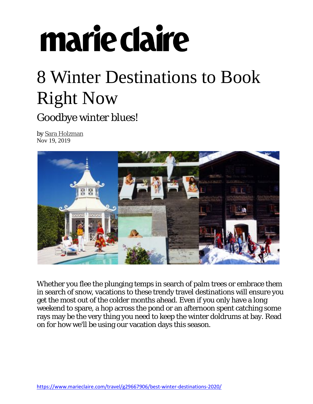# marie claire

## 8 Winter Destinations to Book Right Now Goodbye winter blues!

by [Sara Holzman](https://www.marieclaire.com/author/17098/sara-holzman/) Nov 19, 2019



Whether you flee the plunging temps in search of palm trees or embrace them in search of snow, vacations to these trendy travel destinations will ensure you get the most out of the colder months ahead. Even if you only have a long weekend to spare, a hop across the pond or an afternoon spent catching some rays may be the very thing you need to keep the winter doldrums at bay. Read on for how we'll be using our vacation days this season.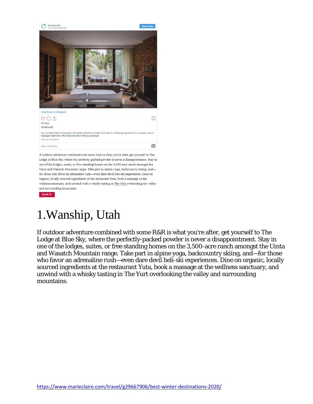

Lodge at Blue Sky, where the perfectly-packed powder is never a disappointment. Stay in one of the lodges, suites, or free standing homes on the 3,500-acre ranch amongst the Uinta and Wasatch Mountain range. Take part in alpine yoga, backcountry skiing, andfor those who favor an adrenaline rush-even dare devil heli-ski experiences. Dine on organic, locally sourced ingredients at the restaurant Yuta, book a massage at the wellness sanctuary, and unwind with a whisky tasting in The Yurt overlooking the valley and surrounding mountains.



#### 1.Wanship, Utah

If outdoor adventure combined with some R&R is what you're after, get yourself to The Lodge at Blue Sky, where the perfectly-packed powder is never a disappointment. Stay in one of the lodges, suites, or free standing homes on the 3,500-acre ranch amongst the Uinta and Wasatch Mountain range. Take part in alpine yoga, backcountry skiing, and—for those who favor an adrenaline rush—even dare devil heli-ski experiences. Dine on organic, locally sourced ingredients at the restaurant Yuta, book a massage at the wellness sanctuary, and unwind with a whisky tasting in [The Yurt](https://aubergeresorts.com/bluesky/dine/the-yurt/) overlooking the valley and surrounding mountains.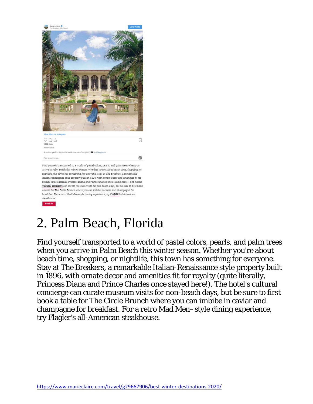

#### 2. Palm Beach, Florida

Find yourself transported to a world of pastel colors, pearls, and palm trees when you arrive in Palm Beach this winter season. Whether you're about beach time, shopping, or nightlife, this town has something for everyone. Stay at The Breakers, a remarkable Italian-Renaissance style property built in 1896, with ornate decor and amenities fit for royalty (quite literally, Princess Diana and Prince Charles once stayed here!). The hotel's [cultural](https://www.palmbeachculture.com/things-to-do/cultural-concierge/)  [concierge](https://www.palmbeachculture.com/things-to-do/cultural-concierge/) can curate museum visits for non-beach days, but be sure to first book a table for The Circle Brunch where you can imbibe in caviar and champagne for breakfast. For a retro Mad Men–style dining experience, try [Flagler's](https://www.thebreakers.com/dining/flagler-steakhouse/) all-American steakhouse.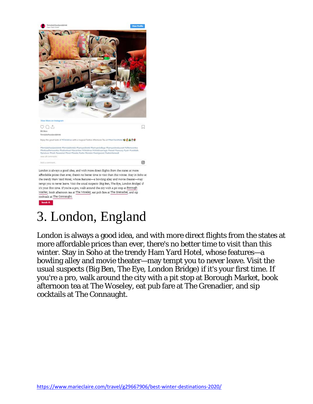

#### 3. London, England

London is always a good idea, and with more direct flights from the states at more affordable prices than ever, there's no better time to visit than this winter. Stay in Soho at the trendy Ham Yard Hotel, whose features—a bowling alley and movie theater—may tempt you to never leave. Visit the usual suspects (Big Ben, The Eye, London Bridge) if it's your first time. If you're a pro, walk around the city with a pit stop at [Borough Market,](http://boroughmarket.org.uk/) book afternoon tea at [The Woseley,](https://www.thewolseley.com/) eat pub fare at [The Grenadier,](https://go.redirectingat.com/?id=74968X1525081&xs=1&url=https%3A%2F%2Fwww.tripadvisor.com%2FAttraction_Review-g186338-d258348-Reviews-The_Grenadier-London_England.html&sref=https%3A%2F%2Fwww.marieclaire.com%2Ftravel%2Fg29667906%2F7-winter-destinations-to-book-right-now%2F) and sip cocktails at [The Connaught.](https://www.the-connaught.co.uk/rooms-and-suites/?ds_rl=1265069&gclid=Cj0KCQiAno_uBRC1ARIsAB496IWUj4QuAEF8PHCWmprmcIHdo-FCVOxmX8Zwyp0k6iSrTUFKE2XFbJEaAtVREALw_wcB&gclsrc=aw.ds)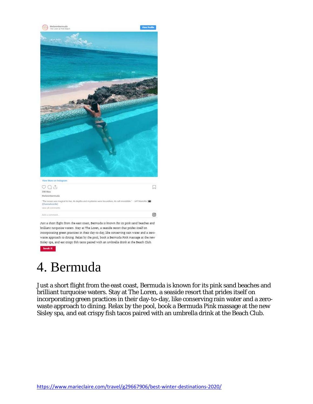| thelorenbermuda<br>The Coren at Pink Beach                                                                                                                                    | <b>View Profile</b> |
|-------------------------------------------------------------------------------------------------------------------------------------------------------------------------------|---------------------|
|                                                                                                                                                                               |                     |
|                                                                                                                                                                               |                     |
|                                                                                                                                                                               |                     |
|                                                                                                                                                                               |                     |
|                                                                                                                                                                               |                     |
|                                                                                                                                                                               |                     |
|                                                                                                                                                                               |                     |
|                                                                                                                                                                               |                     |
|                                                                                                                                                                               |                     |
|                                                                                                                                                                               |                     |
|                                                                                                                                                                               |                     |
|                                                                                                                                                                               |                     |
|                                                                                                                                                                               |                     |
|                                                                                                                                                                               |                     |
|                                                                                                                                                                               |                     |
|                                                                                                                                                                               |                     |
|                                                                                                                                                                               |                     |
|                                                                                                                                                                               |                     |
|                                                                                                                                                                               |                     |
|                                                                                                                                                                               |                     |
|                                                                                                                                                                               |                     |
|                                                                                                                                                                               |                     |
|                                                                                                                                                                               |                     |
|                                                                                                                                                                               |                     |
|                                                                                                                                                                               |                     |
|                                                                                                                                                                               |                     |
|                                                                                                                                                                               |                     |
|                                                                                                                                                                               |                     |
|                                                                                                                                                                               |                     |
|                                                                                                                                                                               |                     |
|                                                                                                                                                                               |                     |
|                                                                                                                                                                               |                     |
|                                                                                                                                                                               |                     |
| View More on Instagram                                                                                                                                                        |                     |
|                                                                                                                                                                               |                     |
| $\bigcirc$ $\bigcirc$ $\bigcirc$                                                                                                                                              |                     |
| 208 likes                                                                                                                                                                     |                     |
| thelorenbermuda                                                                                                                                                               |                     |
| "The ocean was magical to her, its depths and mysteries were boundless, its call invisiatible." - Jeff Mariotte [<br>@hannahcecille]                                          |                     |
| view all comments.                                                                                                                                                            |                     |
| Add a comment                                                                                                                                                                 | ග                   |
|                                                                                                                                                                               |                     |
| Just a short flight from the east coast, Bermuda is known for its pink sand beaches and                                                                                       |                     |
| brilliant turquoise waters. Stay at The Loren, a seaside resort that prides itself on                                                                                         |                     |
| incorporating green practices in their day-to-day, like conserving rain water and a zero-                                                                                     |                     |
|                                                                                                                                                                               |                     |
| waste approach to dining. Relax by the pool, book a Bermuda Pink massage at the new<br>Sisley spa, and eat crispy fish tacos paired with an umbrella drink at the Beach Club. |                     |

#### 4. Bermuda

book it

Just a short flight from the east coast, Bermuda is known for its pink sand beaches and brilliant turquoise waters. Stay at The Loren, a seaside resort that prides itself on incorporating green practices in their day-to-day, like conserving rain water and a zerowaste approach to dining. Relax by the pool, book a Bermuda Pink massage at the new Sisley spa, and eat crispy fish tacos paired with an umbrella drink at the Beach Club.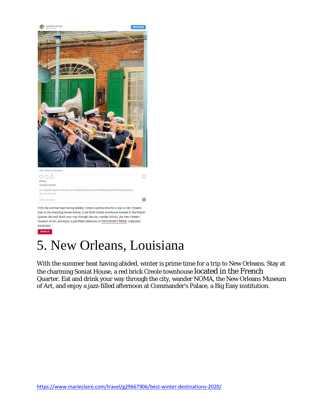

### 5. New Orleans, Louisiana

With the summer heat having abided, winter is prime time for a trip to New Orleans. Stay at the charming Soniat House, a red brick Creole townhouse located in the French Quarter. Eat and drink your way through the city, wander NOMA, the New Orleans Museum of Art, and enjoy a jazz-filled afternoon at [Commander's Palace,](https://www.commanderspalace.com/) a Big Easy institution.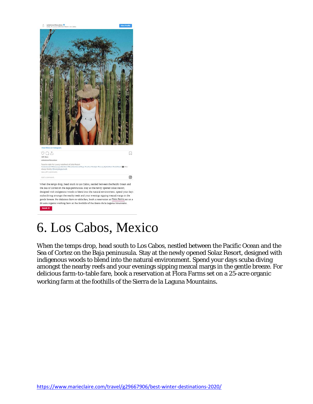

#### 6. Los Cabos, Mexico

When the temps drop, head south to Los Cabos, nestled between the Pacific Ocean and the Sea of Cortez on the Baja peninusula. Stay at the newly opened Solaz Resort, designed with indigenous woods to blend into the natural environment. Spend your days scuba diving amongst the nearby reefs and your evenings sipping mezcal margs in the gentle breeze. For delicious farm-to-table fare, book a reservation at [Flora Farms](https://www.flora-farms.com/) set on a 25-acre organic working farm at the foothills of the Sierra de la Laguna Mountains.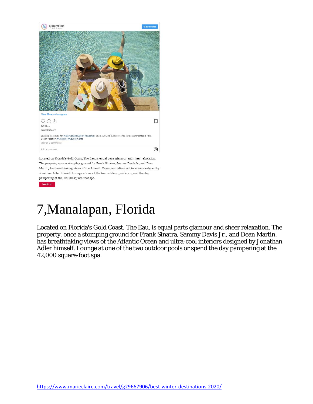

The property, once a stomping ground for Frank Sinatra, Sammy Davis Jr., and Dean Martin, has breathtaking views of the Atlantic Ocean and ultra-cool interiors designed by Jonathan Adler himself. Lounge at one of the two outdoor pools or spend the day pampering at the 42,000 square-foot spa.

book it

#### 7,Manalapan, Florida

Located on Florida's Gold Coast, The Eau, is equal parts glamour and sheer relaxation. The property, once a stomping ground for Frank Sinatra, Sammy Davis Jr., and Dean Martin, has breathtaking views of the Atlantic Ocean and ultra-cool interiors designed by Jonathan Adler himself. Lounge at one of the two outdoor pools or spend the day pampering at the 42,000 square-foot spa.